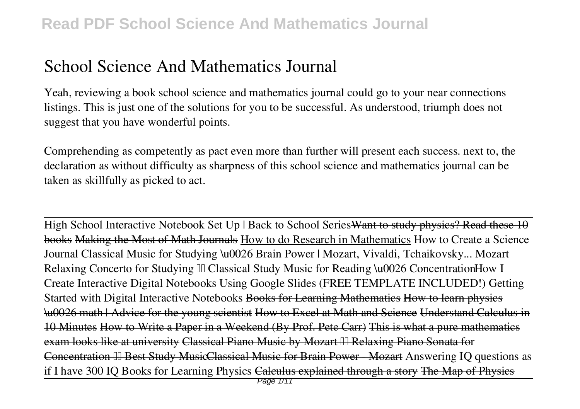## **School Science And Mathematics Journal**

Yeah, reviewing a book **school science and mathematics journal** could go to your near connections listings. This is just one of the solutions for you to be successful. As understood, triumph does not suggest that you have wonderful points.

Comprehending as competently as pact even more than further will present each success. next to, the declaration as without difficulty as sharpness of this school science and mathematics journal can be taken as skillfully as picked to act.

High School Interactive Notebook Set Up | Back to School Series Want to study physics? Read these 10 books Making the Most of Math Journals How to do Research in Mathematics *How to Create a Science Journal Classical Music for Studying \u0026 Brain Power | Mozart, Vivaldi, Tchaikovsky... Mozart Relaxing Concerto for Studying Classical Study Music for Reading \u0026 ConcentrationHow I Create Interactive Digital Notebooks Using Google Slides (FREE TEMPLATE INCLUDED!)* Getting Started with Digital Interactive Notebooks Books for Learning Mathematics How to learn physics \u0026 math | Advice for the young scientist How to Excel at Math and Science Understand Calculus in 10 Minutes How to Write a Paper in a Weekend (By Prof. Pete Carr) This is what a pure mathematics exam looks like at university Classical Piano Music by Mozart III Relaxing Piano Sonata for Concentration III Best Study MusicClassical Music for Brain Power - Mozart Answering IO questions as if I have 300 IQ *Books for Learning Physics* Calculus explained through a story The Map of Physics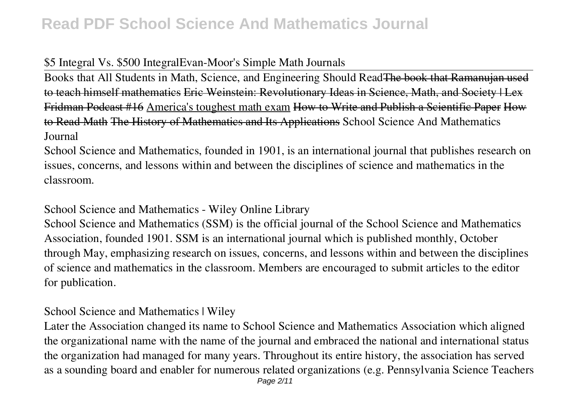#### \$5 Integral Vs. \$500 Integral*Evan-Moor's Simple Math Journals*

Books that All Students in Math, Science, and Engineering Should Read<del>The book that Ramanujan</del> to teach himself mathematics Eric Weinstein: Revolutionary Ideas in Science, Math, and Society | Lex Fridman Podcast #16 America's toughest math exam How to Write and Publish a Scientific Paper How to Read Math The History of Mathematics and Its Applications **School Science And Mathematics Journal**

School Science and Mathematics, founded in 1901, is an international journal that publishes research on issues, concerns, and lessons within and between the disciplines of science and mathematics in the classroom.

#### **School Science and Mathematics - Wiley Online Library**

School Science and Mathematics (SSM) is the official journal of the School Science and Mathematics Association, founded 1901. SSM is an international journal which is published monthly, October through May, emphasizing research on issues, concerns, and lessons within and between the disciplines of science and mathematics in the classroom. Members are encouraged to submit articles to the editor for publication.

#### **School Science and Mathematics | Wiley**

Later the Association changed its name to School Science and Mathematics Association which aligned the organizational name with the name of the journal and embraced the national and international status the organization had managed for many years. Throughout its entire history, the association has served as a sounding board and enabler for numerous related organizations (e.g. Pennsylvania Science Teachers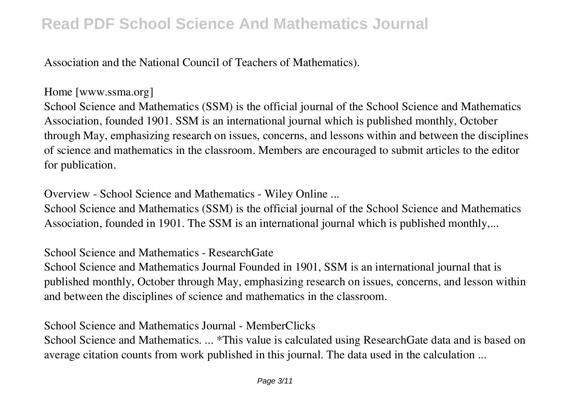Association and the National Council of Teachers of Mathematics).

**Home [www.ssma.org]**

School Science and Mathematics (SSM) is the official journal of the School Science and Mathematics Association, founded 1901. SSM is an international journal which is published monthly, October through May, emphasizing research on issues, concerns, and lessons within and between the disciplines of science and mathematics in the classroom. Members are encouraged to submit articles to the editor for publication.

**Overview - School Science and Mathematics - Wiley Online ...**

School Science and Mathematics (SSM) is the official journal of the School Science and Mathematics Association, founded in 1901. The SSM is an international journal which is published monthly,...

**School Science and Mathematics - ResearchGate**

School Science and Mathematics Journal Founded in 1901, SSM is an international journal that is published monthly, October through May, emphasizing research on issues, concerns, and lesson within and between the disciplines of science and mathematics in the classroom.

**School Science and Mathematics Journal - MemberClicks**

School Science and Mathematics. ... \*This value is calculated using ResearchGate data and is based on average citation counts from work published in this journal. The data used in the calculation ...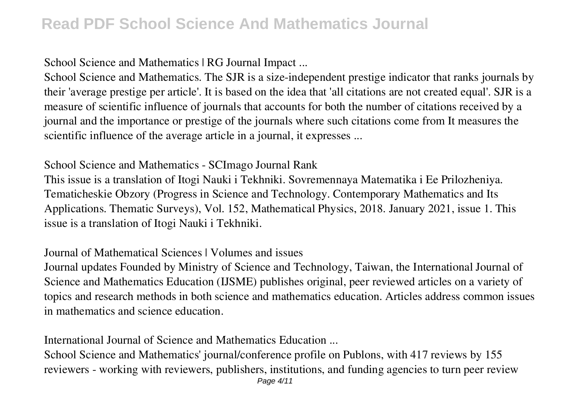**School Science and Mathematics | RG Journal Impact ...**

School Science and Mathematics. The SJR is a size-independent prestige indicator that ranks journals by their 'average prestige per article'. It is based on the idea that 'all citations are not created equal'. SJR is a measure of scientific influence of journals that accounts for both the number of citations received by a journal and the importance or prestige of the journals where such citations come from It measures the scientific influence of the average article in a journal, it expresses ...

**School Science and Mathematics - SCImago Journal Rank**

This issue is a translation of Itogi Nauki i Tekhniki. Sovremennaya Matematika i Ee Prilozheniya. Tematicheskie Obzory (Progress in Science and Technology. Contemporary Mathematics and Its Applications. Thematic Surveys), Vol. 152, Mathematical Physics, 2018. January 2021, issue 1. This issue is a translation of Itogi Nauki i Tekhniki.

**Journal of Mathematical Sciences | Volumes and issues**

Journal updates Founded by Ministry of Science and Technology, Taiwan, the International Journal of Science and Mathematics Education (IJSME) publishes original, peer reviewed articles on a variety of topics and research methods in both science and mathematics education. Articles address common issues in mathematics and science education.

**International Journal of Science and Mathematics Education ...**

School Science and Mathematics' journal/conference profile on Publons, with 417 reviews by 155 reviewers - working with reviewers, publishers, institutions, and funding agencies to turn peer review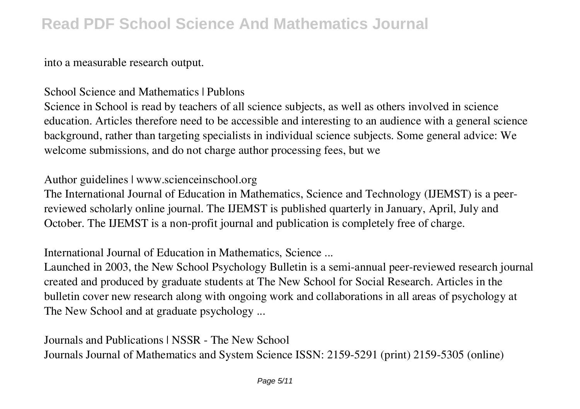into a measurable research output.

**School Science and Mathematics | Publons**

Science in School is read by teachers of all science subjects, as well as others involved in science education. Articles therefore need to be accessible and interesting to an audience with a general science background, rather than targeting specialists in individual science subjects. Some general advice: We welcome submissions, and do not charge author processing fees, but we

**Author guidelines | www.scienceinschool.org**

The International Journal of Education in Mathematics, Science and Technology (IJEMST) is a peerreviewed scholarly online journal. The IJEMST is published quarterly in January, April, July and October. The IJEMST is a non-profit journal and publication is completely free of charge.

**International Journal of Education in Mathematics, Science ...**

Launched in 2003, the New School Psychology Bulletin is a semi-annual peer-reviewed research journal created and produced by graduate students at The New School for Social Research. Articles in the bulletin cover new research along with ongoing work and collaborations in all areas of psychology at The New School and at graduate psychology ...

**Journals and Publications | NSSR - The New School** Journals Journal of Mathematics and System Science ISSN: 2159-5291 (print) 2159-5305 (online)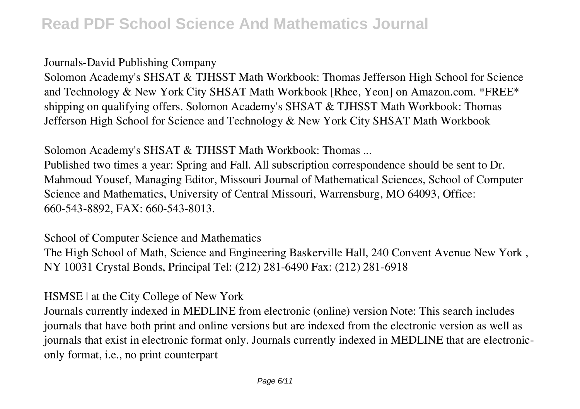**Journals-David Publishing Company**

Solomon Academy's SHSAT & TJHSST Math Workbook: Thomas Jefferson High School for Science and Technology & New York City SHSAT Math Workbook [Rhee, Yeon] on Amazon.com. \*FREE\* shipping on qualifying offers. Solomon Academy's SHSAT & TJHSST Math Workbook: Thomas Jefferson High School for Science and Technology & New York City SHSAT Math Workbook

**Solomon Academy's SHSAT & TJHSST Math Workbook: Thomas ...**

Published two times a year: Spring and Fall. All subscription correspondence should be sent to Dr. Mahmoud Yousef, Managing Editor, Missouri Journal of Mathematical Sciences, School of Computer Science and Mathematics, University of Central Missouri, Warrensburg, MO 64093, Office: 660-543-8892, FAX: 660-543-8013.

**School of Computer Science and Mathematics**

The High School of Math, Science and Engineering Baskerville Hall, 240 Convent Avenue New York , NY 10031 Crystal Bonds, Principal Tel: (212) 281-6490 Fax: (212) 281-6918

**HSMSE | at the City College of New York**

Journals currently indexed in MEDLINE from electronic (online) version Note: This search includes journals that have both print and online versions but are indexed from the electronic version as well as journals that exist in electronic format only. Journals currently indexed in MEDLINE that are electroniconly format, i.e., no print counterpart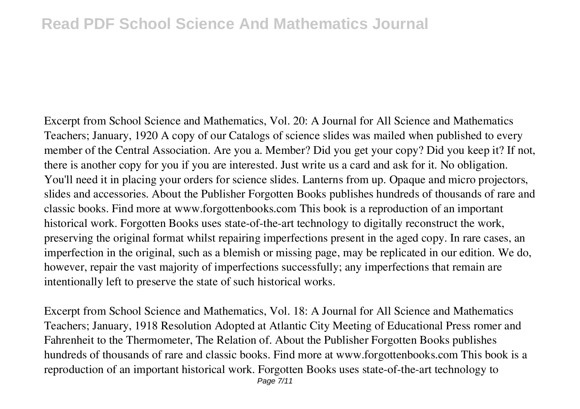Excerpt from School Science and Mathematics, Vol. 20: A Journal for All Science and Mathematics Teachers; January, 1920 A copy of our Catalogs of science slides was mailed when published to every member of the Central Association. Are you a. Member? Did you get your copy? Did you keep it? If not, there is another copy for you if you are interested. Just write us a card and ask for it. No obligation. You'll need it in placing your orders for science slides. Lanterns from up. Opaque and micro projectors, slides and accessories. About the Publisher Forgotten Books publishes hundreds of thousands of rare and classic books. Find more at www.forgottenbooks.com This book is a reproduction of an important historical work. Forgotten Books uses state-of-the-art technology to digitally reconstruct the work, preserving the original format whilst repairing imperfections present in the aged copy. In rare cases, an imperfection in the original, such as a blemish or missing page, may be replicated in our edition. We do, however, repair the vast majority of imperfections successfully; any imperfections that remain are intentionally left to preserve the state of such historical works.

Excerpt from School Science and Mathematics, Vol. 18: A Journal for All Science and Mathematics Teachers; January, 1918 Resolution Adopted at Atlantic City Meeting of Educational Press romer and Fahrenheit to the Thermometer, The Relation of. About the Publisher Forgotten Books publishes hundreds of thousands of rare and classic books. Find more at www.forgottenbooks.com This book is a reproduction of an important historical work. Forgotten Books uses state-of-the-art technology to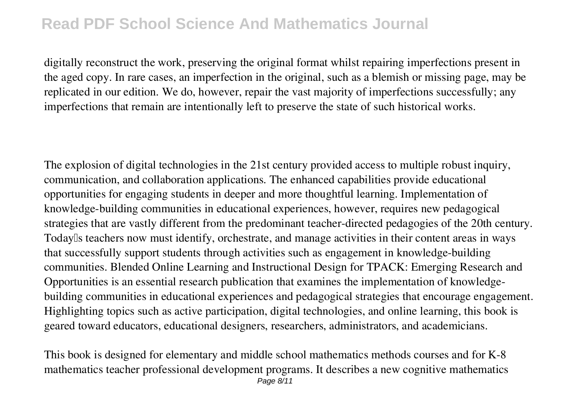digitally reconstruct the work, preserving the original format whilst repairing imperfections present in the aged copy. In rare cases, an imperfection in the original, such as a blemish or missing page, may be replicated in our edition. We do, however, repair the vast majority of imperfections successfully; any imperfections that remain are intentionally left to preserve the state of such historical works.

The explosion of digital technologies in the 21st century provided access to multiple robust inquiry, communication, and collaboration applications. The enhanced capabilities provide educational opportunities for engaging students in deeper and more thoughtful learning. Implementation of knowledge-building communities in educational experiences, however, requires new pedagogical strategies that are vastly different from the predominant teacher-directed pedagogies of the 20th century. Todaylls teachers now must identify, orchestrate, and manage activities in their content areas in ways that successfully support students through activities such as engagement in knowledge-building communities. Blended Online Learning and Instructional Design for TPACK: Emerging Research and Opportunities is an essential research publication that examines the implementation of knowledgebuilding communities in educational experiences and pedagogical strategies that encourage engagement. Highlighting topics such as active participation, digital technologies, and online learning, this book is geared toward educators, educational designers, researchers, administrators, and academicians.

This book is designed for elementary and middle school mathematics methods courses and for K-8 mathematics teacher professional development programs. It describes a new cognitive mathematics Page 8/11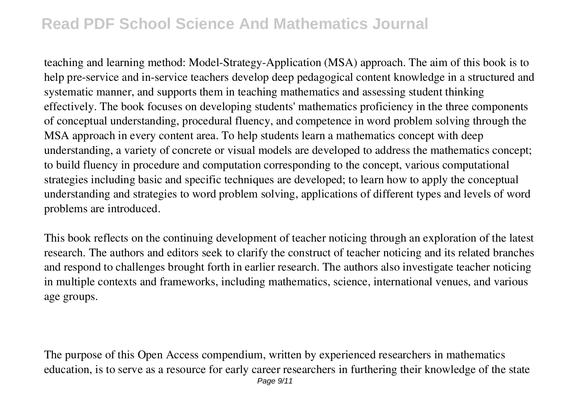teaching and learning method: Model-Strategy-Application (MSA) approach. The aim of this book is to help pre-service and in-service teachers develop deep pedagogical content knowledge in a structured and systematic manner, and supports them in teaching mathematics and assessing student thinking effectively. The book focuses on developing students' mathematics proficiency in the three components of conceptual understanding, procedural fluency, and competence in word problem solving through the MSA approach in every content area. To help students learn a mathematics concept with deep understanding, a variety of concrete or visual models are developed to address the mathematics concept; to build fluency in procedure and computation corresponding to the concept, various computational strategies including basic and specific techniques are developed; to learn how to apply the conceptual understanding and strategies to word problem solving, applications of different types and levels of word problems are introduced.

This book reflects on the continuing development of teacher noticing through an exploration of the latest research. The authors and editors seek to clarify the construct of teacher noticing and its related branches and respond to challenges brought forth in earlier research. The authors also investigate teacher noticing in multiple contexts and frameworks, including mathematics, science, international venues, and various age groups.

The purpose of this Open Access compendium, written by experienced researchers in mathematics education, is to serve as a resource for early career researchers in furthering their knowledge of the state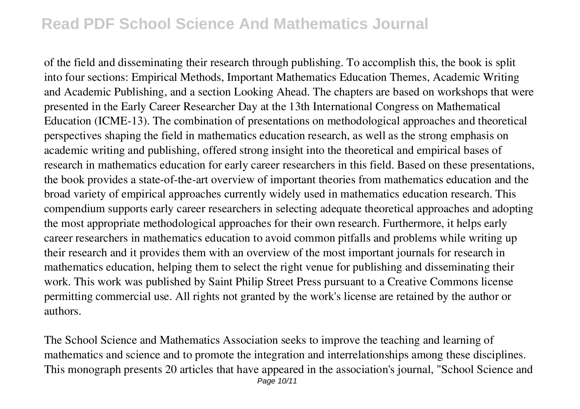of the field and disseminating their research through publishing. To accomplish this, the book is split into four sections: Empirical Methods, Important Mathematics Education Themes, Academic Writing and Academic Publishing, and a section Looking Ahead. The chapters are based on workshops that were presented in the Early Career Researcher Day at the 13th International Congress on Mathematical Education (ICME-13). The combination of presentations on methodological approaches and theoretical perspectives shaping the field in mathematics education research, as well as the strong emphasis on academic writing and publishing, offered strong insight into the theoretical and empirical bases of research in mathematics education for early career researchers in this field. Based on these presentations, the book provides a state-of-the-art overview of important theories from mathematics education and the broad variety of empirical approaches currently widely used in mathematics education research. This compendium supports early career researchers in selecting adequate theoretical approaches and adopting the most appropriate methodological approaches for their own research. Furthermore, it helps early career researchers in mathematics education to avoid common pitfalls and problems while writing up their research and it provides them with an overview of the most important journals for research in mathematics education, helping them to select the right venue for publishing and disseminating their work. This work was published by Saint Philip Street Press pursuant to a Creative Commons license permitting commercial use. All rights not granted by the work's license are retained by the author or authors.

The School Science and Mathematics Association seeks to improve the teaching and learning of mathematics and science and to promote the integration and interrelationships among these disciplines. This monograph presents 20 articles that have appeared in the association's journal, "School Science and